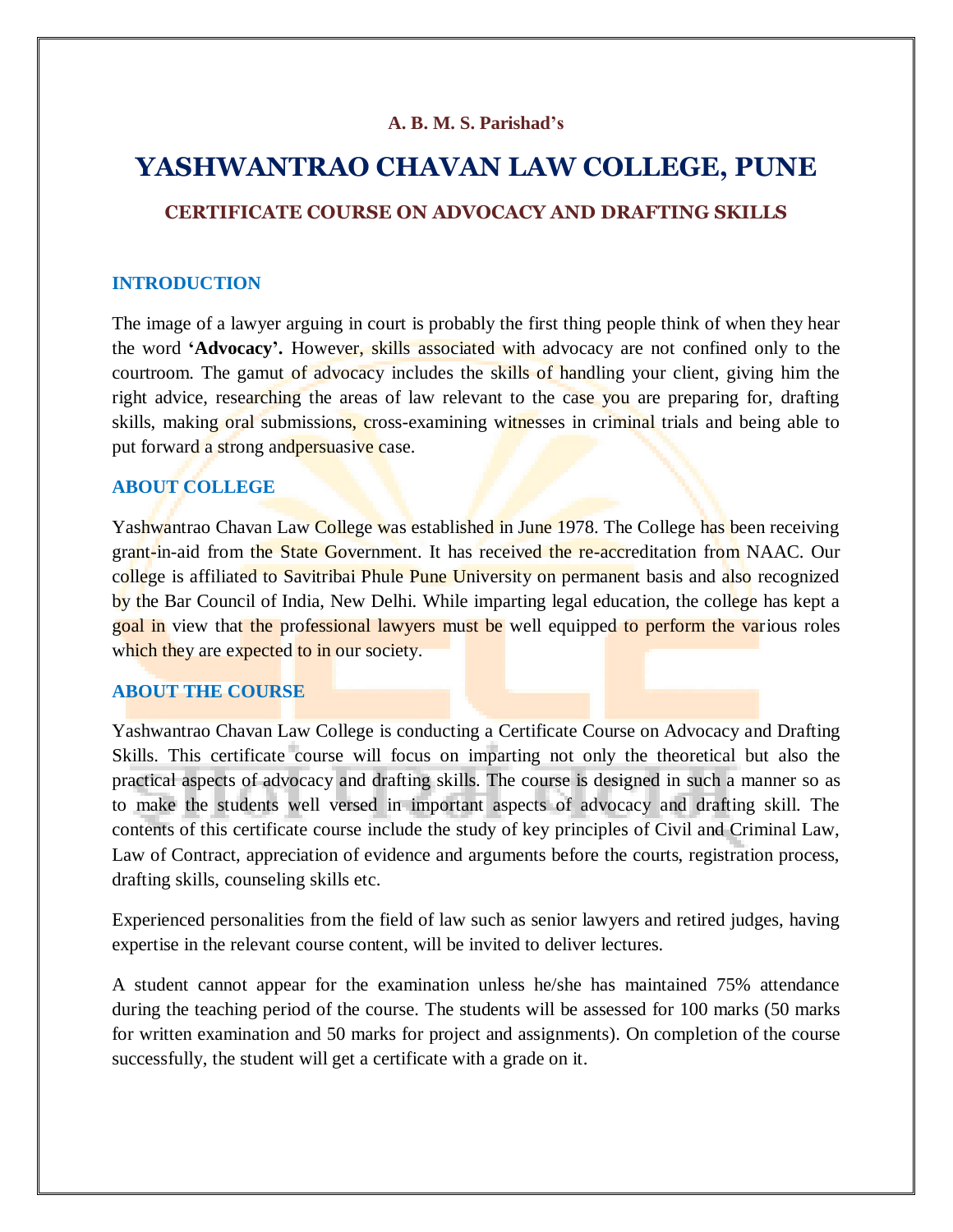# **A. B. M. S. Parishad's**

# **YASHWANTRAO CHAVAN LAW COLLEGE, PUNE**

# **CERTIFICATE COURSE ON ADVOCACY AND DRAFTING SKILLS**

#### **INTRODUCTION**

The image of a lawyer arguing in court is probably the first thing people think of when they hear the word **'Advocacy'.** However, skills associated with advocacy are not confined only to the courtroom. The gamut of advocacy includes the skills of handling your client, giving him the right advice, researching the areas of law relevant to the case you are preparing for, drafting skills, making oral submissions, cross-examining witnesses in criminal trials and being able to put forward a strong andpersuasive case.

# **ABOUT COLLEGE**

Yashwantrao Chavan Law College was established in June 1978. The College has been receiving grant-in-aid from the State Government. It has received the re-accreditation from NAAC. Our college is affiliated to Savitribai Phule Pune University on permanent basis and also recognized by the Bar Council of India, New Delhi. While imparting legal education, the college has kept a goal in view that the professional lawyers must be well equipped to perform the various roles which they are expected to in our society.

#### **ABOUT THE COURSE**

Yashwantrao Chavan Law College is conducting a Certificate Course on Advocacy and Drafting Skills. This certificate course will focus on imparting not only the theoretical but also the practical aspects of advocacy and drafting skills. The course is designed in such a manner so as to make the students well versed in important aspects of advocacy and drafting skill. The contents of this certificate course include the study of key principles of Civil and Criminal Law, Law of Contract, appreciation of evidence and arguments before the courts, registration process, drafting skills, counseling skills etc.

Experienced personalities from the field of law such as senior lawyers and retired judges, having expertise in the relevant course content, will be invited to deliver lectures.

A student cannot appear for the examination unless he/she has maintained 75% attendance during the teaching period of the course. The students will be assessed for 100 marks (50 marks for written examination and 50 marks for project and assignments). On completion of the course successfully, the student will get a certificate with a grade on it.